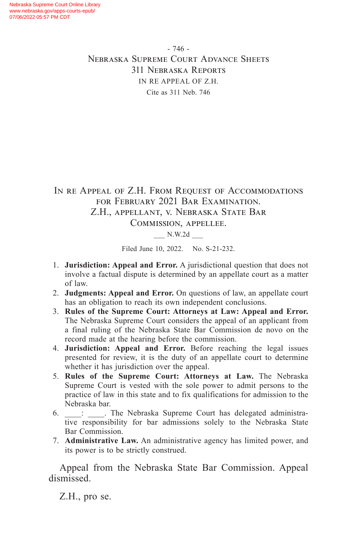- 746 - Nebraska Supreme Court Advance Sheets 311 Nebraska Reports IN RE APPEAL OF Z.H. Cite as 311 Neb. 746

IN RE APPEAL OF Z.H. FROM REQUEST OF ACCOMMODATIONS for February 2021 Bar Examination. Z.H., appellant, v. Nebraska State Bar Commission, appellee.

\_\_\_ N.W.2d \_\_\_

Filed June 10, 2022. No. S-21-232.

- 1. **Jurisdiction: Appeal and Error.** A jurisdictional question that does not involve a factual dispute is determined by an appellate court as a matter of law.
- 2. **Judgments: Appeal and Error.** On questions of law, an appellate court has an obligation to reach its own independent conclusions.
- 3. **Rules of the Supreme Court: Attorneys at Law: Appeal and Error.** The Nebraska Supreme Court considers the appeal of an applicant from a final ruling of the Nebraska State Bar Commission de novo on the record made at the hearing before the commission.
- 4. **Jurisdiction: Appeal and Error.** Before reaching the legal issues presented for review, it is the duty of an appellate court to determine whether it has jurisdiction over the appeal.
- 5. **Rules of the Supreme Court: Attorneys at Law.** The Nebraska Supreme Court is vested with the sole power to admit persons to the practice of law in this state and to fix qualifications for admission to the Nebraska bar.
- 6.  $\vdots$  . The Nebraska Supreme Court has delegated administrative responsibility for bar admissions solely to the Nebraska State Bar Commission.
- 7. **Administrative Law.** An administrative agency has limited power, and its power is to be strictly construed.

Appeal from the Nebraska State Bar Commission. Appeal dismissed.

Z.H., pro se.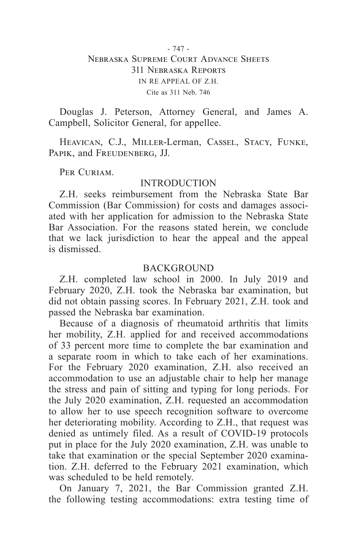### - 747 - Nebraska Supreme Court Advance Sheets 311 Nebraska Reports IN RE APPEAL OF Z.H. Cite as 311 Neb. 746

Douglas J. Peterson, Attorney General, and James A. Campbell, Solicitor General, for appellee.

Heavican, C.J., Miller-Lerman, Cassel, Stacy, Funke, PAPIK, and FREUDENBERG, JJ.

PER CURIAM.

### INTRODUCTION

Z.H. seeks reimbursement from the Nebraska State Bar Commission (Bar Commission) for costs and damages associated with her application for admission to the Nebraska State Bar Association. For the reasons stated herein, we conclude that we lack jurisdiction to hear the appeal and the appeal is dismissed.

#### **BACKGROUND**

Z.H. completed law school in 2000. In July 2019 and February 2020, Z.H. took the Nebraska bar examination, but did not obtain passing scores. In February 2021, Z.H. took and passed the Nebraska bar examination.

Because of a diagnosis of rheumatoid arthritis that limits her mobility, Z.H. applied for and received accommodations of 33 percent more time to complete the bar examination and a separate room in which to take each of her examinations. For the February 2020 examination, Z.H. also received an accommodation to use an adjustable chair to help her manage the stress and pain of sitting and typing for long periods. For the July 2020 examination, Z.H. requested an accommodation to allow her to use speech recognition software to overcome her deteriorating mobility. According to Z.H., that request was denied as untimely filed. As a result of COVID-19 protocols put in place for the July 2020 examination, Z.H. was unable to take that examination or the special September 2020 examination. Z.H. deferred to the February 2021 examination, which was scheduled to be held remotely.

On January 7, 2021, the Bar Commission granted Z.H. the following testing accommodations: extra testing time of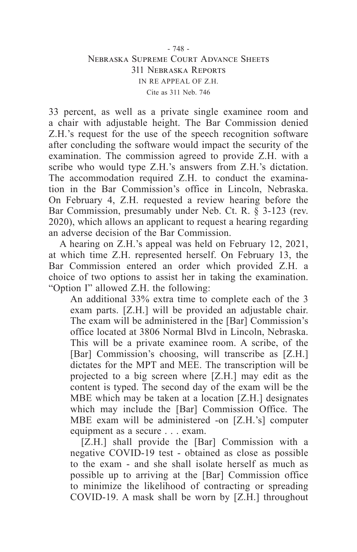### - 748 - Nebraska Supreme Court Advance Sheets 311 Nebraska Reports IN RE APPEAL OF Z.H. Cite as 311 Neb. 746

33 percent, as well as a private single examinee room and a chair with adjustable height. The Bar Commission denied Z.H.'s request for the use of the speech recognition software after concluding the software would impact the security of the examination. The commission agreed to provide Z.H. with a scribe who would type Z.H.'s answers from Z.H.'s dictation. The accommodation required Z.H. to conduct the examination in the Bar Commission's office in Lincoln, Nebraska. On February 4, Z.H. requested a review hearing before the Bar Commission, presumably under Neb. Ct. R. § 3-123 (rev. 2020), which allows an applicant to request a hearing regarding an adverse decision of the Bar Commission.

A hearing on Z.H.'s appeal was held on February 12, 2021, at which time Z.H. represented herself. On February 13, the Bar Commission entered an order which provided Z.H. a choice of two options to assist her in taking the examination. "Option I" allowed Z.H. the following:

An additional 33% extra time to complete each of the 3 exam parts. [Z.H.] will be provided an adjustable chair. The exam will be administered in the [Bar] Commission's office located at 3806 Normal Blvd in Lincoln, Nebraska. This will be a private examinee room. A scribe, of the [Bar] Commission's choosing, will transcribe as [Z.H.] dictates for the MPT and MEE. The transcription will be projected to a big screen where [Z.H.] may edit as the content is typed. The second day of the exam will be the MBE which may be taken at a location [Z.H.] designates which may include the [Bar] Commission Office. The MBE exam will be administered -on [Z.H.'s] computer equipment as a secure . . . exam.

[Z.H.] shall provide the [Bar] Commission with a negative COVID-19 test - obtained as close as possible to the exam - and she shall isolate herself as much as possible up to arriving at the [Bar] Commission office to minimize the likelihood of contracting or spreading COVID-19. A mask shall be worn by [Z.H.] throughout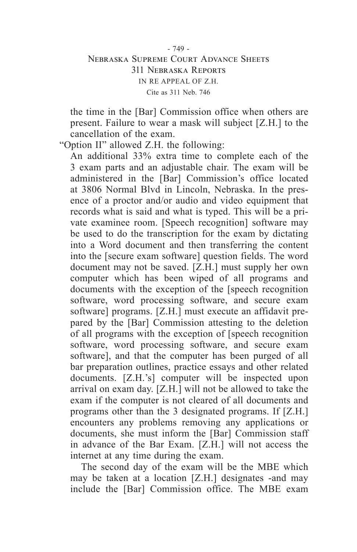# - 749 - Nebraska Supreme Court Advance Sheets 311 Nebraska Reports IN RE APPEAL OF Z.H. Cite as 311 Neb. 746

the time in the [Bar] Commission office when others are present. Failure to wear a mask will subject [Z.H.] to the cancellation of the exam.

"Option II" allowed Z.H. the following:

An additional 33% extra time to complete each of the 3 exam parts and an adjustable chair. The exam will be administered in the [Bar] Commission's office located at 3806 Normal Blvd in Lincoln, Nebraska. In the presence of a proctor and/or audio and video equipment that records what is said and what is typed. This will be a private examinee room. [Speech recognition] software may be used to do the transcription for the exam by dictating into a Word document and then transferring the content into the [secure exam software] question fields. The word document may not be saved. [Z.H.] must supply her own computer which has been wiped of all programs and documents with the exception of the [speech recognition software, word processing software, and secure exam software] programs. [Z.H.] must execute an affidavit prepared by the [Bar] Commission attesting to the deletion of all programs with the exception of [speech recognition software, word processing software, and secure exam software], and that the computer has been purged of all bar preparation outlines, practice essays and other related documents. [Z.H.'s] computer will be inspected upon arrival on exam day. [Z.H.] will not be allowed to take the exam if the computer is not cleared of all documents and programs other than the 3 designated programs. If [Z.H.] encounters any problems removing any applications or documents, she must inform the [Bar] Commission staff in advance of the Bar Exam. [Z.H.] will not access the internet at any time during the exam.

The second day of the exam will be the MBE which may be taken at a location [Z.H.] designates -and may include the [Bar] Commission office. The MBE exam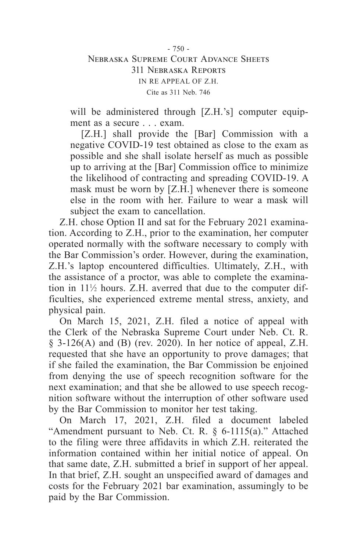# $-750 -$ Nebraska Supreme Court Advance Sheets 311 Nebraska Reports IN RE APPEAL OF Z.H. Cite as 311 Neb. 746

will be administered through [Z.H.'s] computer equipment as a secure . . . exam.

[Z.H.] shall provide the [Bar] Commission with a negative COVID-19 test obtained as close to the exam as possible and she shall isolate herself as much as possible up to arriving at the [Bar] Commission office to minimize the likelihood of contracting and spreading COVID-19. A mask must be worn by [Z.H.] whenever there is someone else in the room with her. Failure to wear a mask will subject the exam to cancellation.

Z.H. chose Option II and sat for the February 2021 examination. According to Z.H., prior to the examination, her computer operated normally with the software necessary to comply with the Bar Commission's order. However, during the examination, Z.H.'s laptop encountered difficulties. Ultimately, Z.H., with the assistance of a proctor, was able to complete the examination in  $11\frac{1}{2}$  hours. Z.H. averred that due to the computer difficulties, she experienced extreme mental stress, anxiety, and physical pain.

On March 15, 2021, Z.H. filed a notice of appeal with the Clerk of the Nebraska Supreme Court under Neb. Ct. R. § 3-126(A) and (B) (rev. 2020). In her notice of appeal, Z.H. requested that she have an opportunity to prove damages; that if she failed the examination, the Bar Commission be enjoined from denying the use of speech recognition software for the next examination; and that she be allowed to use speech recognition software without the interruption of other software used by the Bar Commission to monitor her test taking.

On March 17, 2021, Z.H. filed a document labeled "Amendment pursuant to Neb. Ct. R. § 6-1115(a)." Attached to the filing were three affidavits in which Z.H. reiterated the information contained within her initial notice of appeal. On that same date, Z.H. submitted a brief in support of her appeal. In that brief, Z.H. sought an unspecified award of damages and costs for the February 2021 bar examination, assumingly to be paid by the Bar Commission.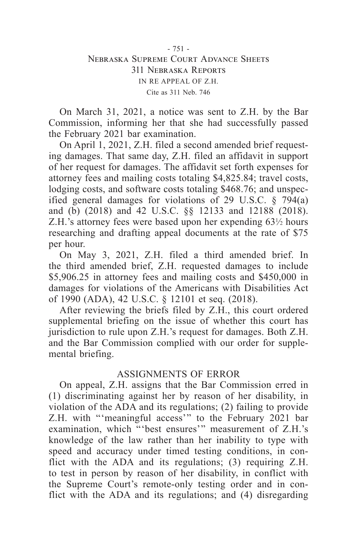# - 751 - Nebraska Supreme Court Advance Sheets 311 Nebraska Reports IN RE APPEAL OF Z.H. Cite as 311 Neb. 746

On March 31, 2021, a notice was sent to Z.H. by the Bar Commission, informing her that she had successfully passed the February 2021 bar examination.

On April 1, 2021, Z.H. filed a second amended brief requesting damages. That same day, Z.H. filed an affidavit in support of her request for damages. The affidavit set forth expenses for attorney fees and mailing costs totaling \$4,825.84; travel costs, lodging costs, and software costs totaling \$468.76; and unspecified general damages for violations of 29 U.S.C. § 794(a) and (b) (2018) and 42 U.S.C. §§ 12133 and 12188 (2018). Z.H.'s attorney fees were based upon her expending 63<sup>1</sup>/<sub>2</sub> hours researching and drafting appeal documents at the rate of \$75 per hour.

On May 3, 2021, Z.H. filed a third amended brief. In the third amended brief, Z.H. requested damages to include \$5,906.25 in attorney fees and mailing costs and \$450,000 in damages for violations of the Americans with Disabilities Act of 1990 (ADA), 42 U.S.C. § 12101 et seq. (2018).

After reviewing the briefs filed by Z.H., this court ordered supplemental briefing on the issue of whether this court has jurisdiction to rule upon Z.H.'s request for damages. Both Z.H. and the Bar Commission complied with our order for supplemental briefing.

# ASSIGNMENTS OF ERROR

On appeal, Z.H. assigns that the Bar Commission erred in (1) discriminating against her by reason of her disability, in violation of the ADA and its regulations; (2) failing to provide Z.H. with "'meaningful access'" to the February 2021 bar examination, which "'best ensures'" measurement of Z.H.'s knowledge of the law rather than her inability to type with speed and accuracy under timed testing conditions, in conflict with the ADA and its regulations; (3) requiring Z.H. to test in person by reason of her disability, in conflict with the Supreme Court's remote-only testing order and in conflict with the ADA and its regulations; and (4) disregarding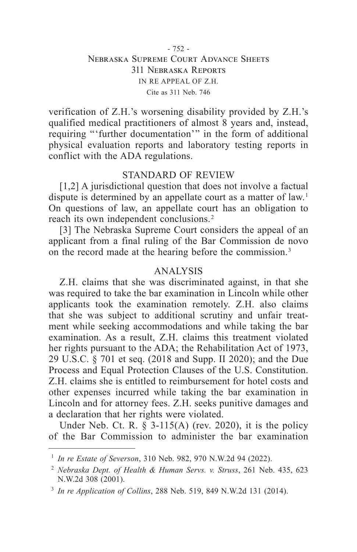## - 752 - Nebraska Supreme Court Advance Sheets 311 Nebraska Reports IN RE APPEAL OF Z.H. Cite as 311 Neb. 746

verification of Z.H.'s worsening disability provided by Z.H.'s qualified medical practitioners of almost 8 years and, instead, requiring "'further documentation'" in the form of additional physical evaluation reports and laboratory testing reports in conflict with the ADA regulations.

# STANDARD OF REVIEW

[1,2] A jurisdictional question that does not involve a factual dispute is determined by an appellate court as a matter of law.<sup>1</sup> On questions of law, an appellate court has an obligation to reach its own independent conclusions. 2

[3] The Nebraska Supreme Court considers the appeal of an applicant from a final ruling of the Bar Commission de novo on the record made at the hearing before the commission. 3

### ANALYSIS

Z.H. claims that she was discriminated against, in that she was required to take the bar examination in Lincoln while other applicants took the examination remotely. Z.H. also claims that she was subject to additional scrutiny and unfair treatment while seeking accommodations and while taking the bar examination. As a result, Z.H. claims this treatment violated her rights pursuant to the ADA; the Rehabilitation Act of 1973, 29 U.S.C. § 701 et seq. (2018 and Supp. II 2020); and the Due Process and Equal Protection Clauses of the U.S. Constitution. Z.H. claims she is entitled to reimbursement for hotel costs and other expenses incurred while taking the bar examination in Lincoln and for attorney fees. Z.H. seeks punitive damages and a declaration that her rights were violated.

Under Neb. Ct. R.  $\S$  3-115(A) (rev. 2020), it is the policy of the Bar Commission to administer the bar examination

<sup>1</sup> *In re Estate of Severson*, 310 Neb. 982, 970 N.W.2d 94 (2022).

<sup>2</sup> *Nebraska Dept. of Health & Human Servs. v. Struss*, 261 Neb. 435, 623 N.W.2d 308 (2001).

<sup>3</sup> *In re Application of Collins*, 288 Neb. 519, 849 N.W.2d 131 (2014).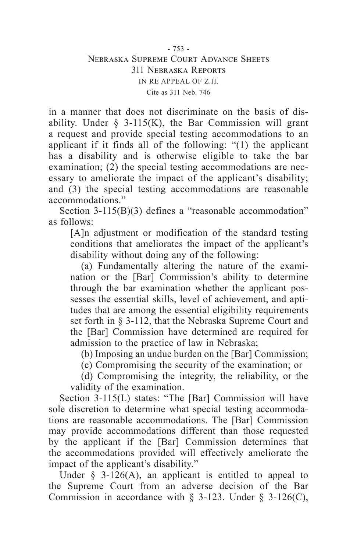### - 753 - Nebraska Supreme Court Advance Sheets 311 Nebraska Reports IN RE APPEAL OF Z.H. Cite as 311 Neb. 746

in a manner that does not discriminate on the basis of disability. Under  $\S$  3-115(K), the Bar Commission will grant a request and provide special testing accommodations to an applicant if it finds all of the following: "(1) the applicant has a disability and is otherwise eligible to take the bar examination; (2) the special testing accommodations are necessary to ameliorate the impact of the applicant's disability; and (3) the special testing accommodations are reasonable accommodations."

Section 3-115(B)(3) defines a "reasonable accommodation" as follows:

[A]n adjustment or modification of the standard testing conditions that ameliorates the impact of the applicant's disability without doing any of the following:

(a) Fundamentally altering the nature of the examination or the [Bar] Commission's ability to determine through the bar examination whether the applicant possesses the essential skills, level of achievement, and aptitudes that are among the essential eligibility requirements set forth in § 3-112, that the Nebraska Supreme Court and the [Bar] Commission have determined are required for admission to the practice of law in Nebraska;

(b) Imposing an undue burden on the [Bar] Commission;

(c) Compromising the security of the examination; or

(d) Compromising the integrity, the reliability, or the validity of the examination.

Section 3-115(L) states: "The [Bar] Commission will have sole discretion to determine what special testing accommodations are reasonable accommodations. The [Bar] Commission may provide accommodations different than those requested by the applicant if the [Bar] Commission determines that the accommodations provided will effectively ameliorate the impact of the applicant's disability."

Under  $\S$  3-126(A), an applicant is entitled to appeal to the Supreme Court from an adverse decision of the Bar Commission in accordance with  $\S$  3-123. Under  $\S$  3-126(C),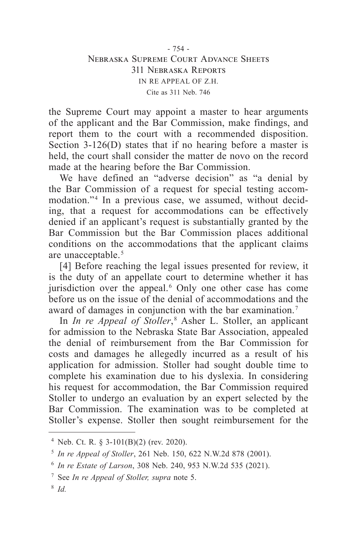the Supreme Court may appoint a master to hear arguments of the applicant and the Bar Commission, make findings, and report them to the court with a recommended disposition. Section 3-126(D) states that if no hearing before a master is held, the court shall consider the matter de novo on the record made at the hearing before the Bar Commission.

We have defined an "adverse decision" as "a denial by the Bar Commission of a request for special testing accommodation."<sup>4</sup> In a previous case, we assumed, without deciding, that a request for accommodations can be effectively denied if an applicant's request is substantially granted by the Bar Commission but the Bar Commission places additional conditions on the accommodations that the applicant claims are unacceptable. 5

[4] Before reaching the legal issues presented for review, it is the duty of an appellate court to determine whether it has jurisdiction over the appeal. 6 Only one other case has come before us on the issue of the denial of accommodations and the award of damages in conjunction with the bar examination. 7

In *In re Appeal of Stoller*,<sup>8</sup> Asher L. Stoller, an applicant for admission to the Nebraska State Bar Association, appealed the denial of reimbursement from the Bar Commission for costs and damages he allegedly incurred as a result of his application for admission. Stoller had sought double time to complete his examination due to his dyslexia. In considering his request for accommodation, the Bar Commission required Stoller to undergo an evaluation by an expert selected by the Bar Commission. The examination was to be completed at Stoller's expense. Stoller then sought reimbursement for the

<sup>4</sup> Neb. Ct. R. § 3-101(B)(2) (rev. 2020).

<sup>5</sup> *In re Appeal of Stoller*, 261 Neb. 150, 622 N.W.2d 878 (2001).

<sup>6</sup> *In re Estate of Larson*, 308 Neb. 240, 953 N.W.2d 535 (2021).

<sup>7</sup> See *In re Appeal of Stoller, supra* note 5.

<sup>8</sup> *Id.*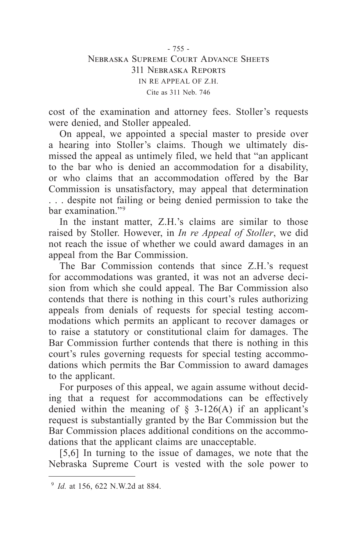cost of the examination and attorney fees. Stoller's requests were denied, and Stoller appealed.

On appeal, we appointed a special master to preside over a hearing into Stoller's claims. Though we ultimately dismissed the appeal as untimely filed, we held that "an applicant to the bar who is denied an accommodation for a disability, or who claims that an accommodation offered by the Bar Commission is unsatisfactory, may appeal that determination . . . despite not failing or being denied permission to take the bar examination."<sup>9</sup>

In the instant matter, Z.H.'s claims are similar to those raised by Stoller. However, in *In re Appeal of Stoller*, we did not reach the issue of whether we could award damages in an appeal from the Bar Commission.

The Bar Commission contends that since Z.H.'s request for accommodations was granted, it was not an adverse decision from which she could appeal. The Bar Commission also contends that there is nothing in this court's rules authorizing appeals from denials of requests for special testing accommodations which permits an applicant to recover damages or to raise a statutory or constitutional claim for damages. The Bar Commission further contends that there is nothing in this court's rules governing requests for special testing accommodations which permits the Bar Commission to award damages to the applicant.

For purposes of this appeal, we again assume without deciding that a request for accommodations can be effectively denied within the meaning of  $\S$  3-126(A) if an applicant's request is substantially granted by the Bar Commission but the Bar Commission places additional conditions on the accommodations that the applicant claims are unacceptable.

[5,6] In turning to the issue of damages, we note that the Nebraska Supreme Court is vested with the sole power to

<sup>9</sup> *Id.* at 156, 622 N.W.2d at 884.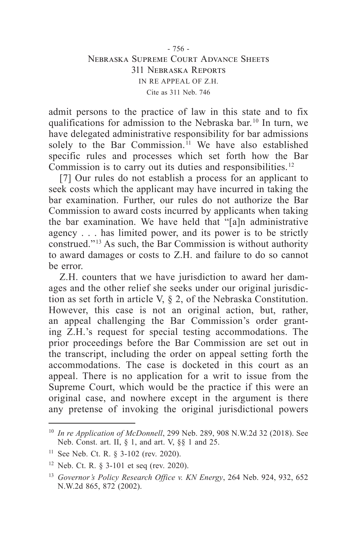admit persons to the practice of law in this state and to fix qualifications for admission to the Nebraska bar. 10 In turn, we have delegated administrative responsibility for bar admissions solely to the Bar Commission.<sup>11</sup> We have also established specific rules and processes which set forth how the Bar Commission is to carry out its duties and responsibilities. 12

[7] Our rules do not establish a process for an applicant to seek costs which the applicant may have incurred in taking the bar examination. Further, our rules do not authorize the Bar Commission to award costs incurred by applicants when taking the bar examination. We have held that "[a]n administrative agency . . . has limited power, and its power is to be strictly construed." 13 As such, the Bar Commission is without authority to award damages or costs to Z.H. and failure to do so cannot be error.

Z.H. counters that we have jurisdiction to award her damages and the other relief she seeks under our original jurisdiction as set forth in article V, § 2, of the Nebraska Constitution. However, this case is not an original action, but, rather, an appeal challenging the Bar Commission's order granting Z.H.'s request for special testing accommodations. The prior proceedings before the Bar Commission are set out in the transcript, including the order on appeal setting forth the accommodations. The case is docketed in this court as an appeal. There is no application for a writ to issue from the Supreme Court, which would be the practice if this were an original case, and nowhere except in the argument is there any pretense of invoking the original jurisdictional powers

<sup>10</sup> *In re Application of McDonnell*, 299 Neb. 289, 908 N.W.2d 32 (2018). See Neb. Const. art. II, § 1, and art. V, §§ 1 and 25.

<sup>&</sup>lt;sup>11</sup> See Neb. Ct. R. § 3-102 (rev. 2020).

<sup>12</sup> Neb. Ct. R. § 3-101 et seq (rev. 2020).

<sup>13</sup> *Governor's Policy Research Office v. KN Energy*, 264 Neb. 924, 932, 652 N.W.2d 865, 872 (2002).